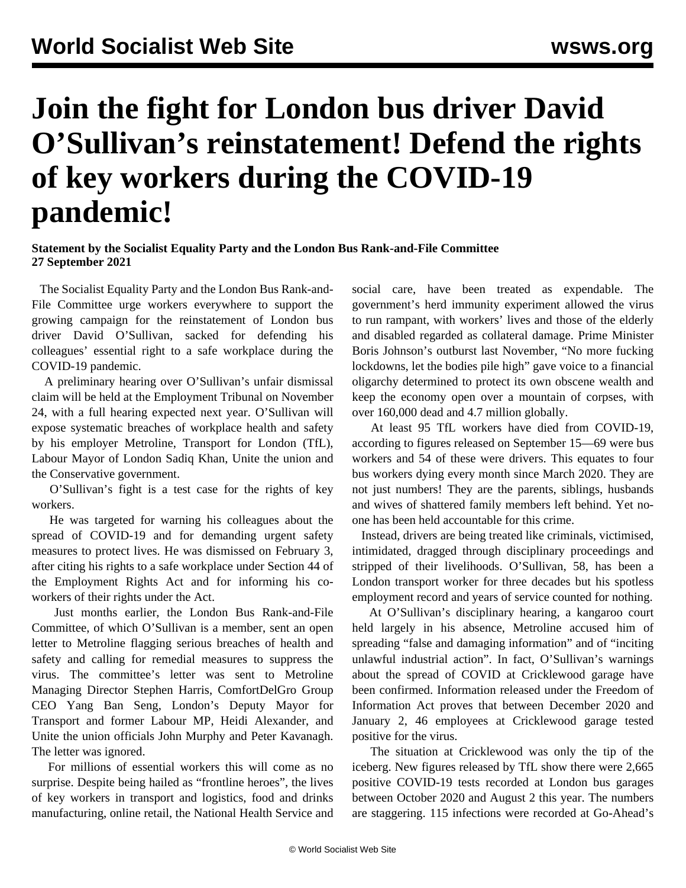## **Join the fight for London bus driver David O'Sullivan's reinstatement! Defend the rights of key workers during the COVID-19 pandemic!**

**Statement by the Socialist Equality Party and the London Bus Rank-and-File Committee 27 September 2021**

 The Socialist Equality Party and the London Bus Rank-and-File Committee urge workers everywhere to support the growing campaign for the reinstatement of London bus driver David O'Sullivan, sacked for defending his colleagues' essential right to a safe workplace during the COVID-19 pandemic.

 A preliminary hearing over O'Sullivan's unfair dismissal claim will be held at the Employment Tribunal on November 24, with a full hearing expected next year. O'Sullivan will expose systematic breaches of workplace health and safety by his employer Metroline, Transport for London (TfL), Labour Mayor of London Sadiq Khan, Unite the union and the Conservative government.

 O'Sullivan's fight is a test case for the rights of key workers.

 He was targeted for warning his colleagues about the spread of COVID-19 and for demanding urgent safety measures to protect lives. He was dismissed on February 3, after citing his rights to a safe workplace under Section 44 of the Employment Rights Act and for informing his coworkers of their rights under the Act.

 Just months earlier, the London Bus Rank-and-File Committee, of which O'Sullivan is a member, sent an open letter to Metroline flagging serious breaches of health and safety and calling for remedial measures to suppress the virus. The committee's letter was sent to Metroline Managing Director Stephen Harris, ComfortDelGro Group CEO Yang Ban Seng, London's Deputy Mayor for Transport and former Labour MP, Heidi Alexander, and Unite the union officials John Murphy and Peter Kavanagh. The letter was ignored.

 For millions of essential workers this will come as no surprise. Despite being hailed as "frontline heroes", the lives of key workers in transport and logistics, food and drinks manufacturing, online retail, the National Health Service and

social care, have been treated as expendable. The government's herd immunity experiment allowed the virus to run rampant, with workers' lives and those of the elderly and disabled regarded as collateral damage. Prime Minister Boris Johnson's outburst last November, "No more fucking lockdowns, let the bodies pile high" gave voice to a financial oligarchy determined to protect its own obscene wealth and keep the economy open over a mountain of corpses, with over 160,000 dead and 4.7 million globally.

 At least 95 TfL workers have died from COVID-19, according to figures released on September 15—69 were bus workers and 54 of these were drivers. This equates to four bus workers dying every month since March 2020. They are not just numbers! They are the parents, siblings, husbands and wives of shattered family members left behind. Yet noone has been held accountable for this crime.

 Instead, drivers are being treated like criminals, victimised, intimidated, dragged through disciplinary proceedings and stripped of their livelihoods. O'Sullivan, 58, has been a London transport worker for three decades but his spotless employment record and years of service counted for nothing.

 At O'Sullivan's disciplinary hearing, a kangaroo court held largely in his absence, Metroline accused him of spreading "false and damaging information" and of "inciting unlawful industrial action". In fact, O'Sullivan's warnings about the spread of COVID at Cricklewood garage have been confirmed. Information released under the Freedom of Information Act proves that between December 2020 and January 2, 46 employees at Cricklewood garage tested positive for the virus.

 The situation at Cricklewood was only the tip of the iceberg. New figures released by TfL show there were 2,665 positive COVID-19 tests recorded at London bus garages between October 2020 and August 2 this year. The numbers are staggering. 115 infections were recorded at Go-Ahead's